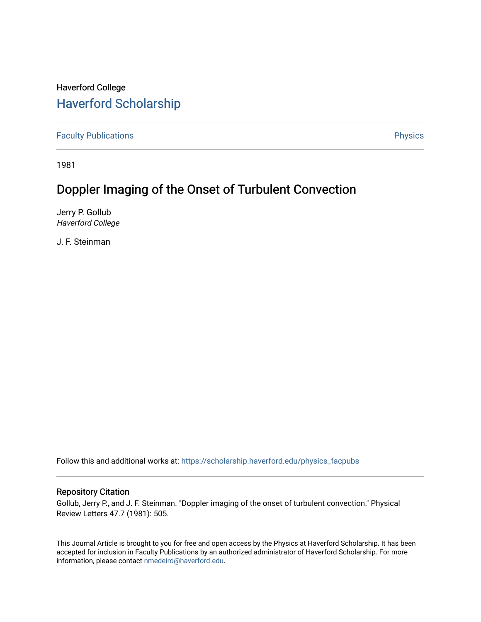## Haverford College [Haverford Scholarship](https://scholarship.haverford.edu/)

[Faculty Publications](https://scholarship.haverford.edu/physics_facpubs) **Physics** 

1981

# Doppler Imaging of the Onset of Turbulent Convection

Jerry P. Gollub Haverford College

J. F. Steinman

Follow this and additional works at: [https://scholarship.haverford.edu/physics\\_facpubs](https://scholarship.haverford.edu/physics_facpubs?utm_source=scholarship.haverford.edu%2Fphysics_facpubs%2F255&utm_medium=PDF&utm_campaign=PDFCoverPages) 

### Repository Citation

Gollub, Jerry P., and J. F. Steinman. "Doppler imaging of the onset of turbulent convection." Physical Review Letters 47.7 (1981): 505.

This Journal Article is brought to you for free and open access by the Physics at Haverford Scholarship. It has been accepted for inclusion in Faculty Publications by an authorized administrator of Haverford Scholarship. For more information, please contact [nmedeiro@haverford.edu.](mailto:nmedeiro@haverford.edu)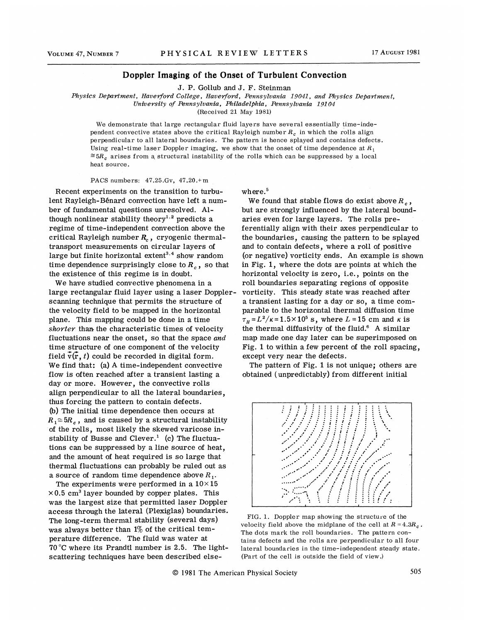#### Doppler Imaging of the Onset of Turbulent Convection

J. P. Gollub and J. F. Steinman

Physics Department, Haverford College, Haverford, Pennsylvania 19041, and Physics Department, University of Pennsylvania, Philadelphia, Pennsylvania 19104

(Received 21 May 1981)

We demonstrate that large rectangular fluid layers have several essentially time-independent convective states above the critical Rayleigh number  $R_c$  in which the rolls align perpendicular to all lateral boundaries. The pattern is hence splayed and contains defects. Using real-time laser Doppler imaging, we show that the onset of time dependence at  $R_1$  $\cong$  5 $R_c$  arises from a structural instability of the rolls which can be suppressed by a local heat source.

PACS numbers:  $47.25.Gv$ ,  $47.20.+m$ 

Recent experiments on the transition to turbulent Bayleigh-Benard convection have left a number of fundamental questions unresolved. Although nonlinear stability theory<sup>1,2</sup> predicts a regime of time-independent convection above the critical Rayleigh number  $R_c$ , cryogenic thermaltransport measurements on circular layers of large but finite horizontal extent<sup>3,4</sup> show random time dependence surprisingly close to  $R_c$  , so that the existence of this regime is in doubt.

We have studied convective phenomena in a large rectangular fluid layer using a laser Dopplerscanning technique that permits the structure of the velocity field to be mapped in the horizontal plane. This mapping could be done in a time shorter than the characteristic times of velocity fluctuations near the onset, so that the space and time structure of one component of the velocity field  $\vec{v}(\vec{r}, t)$  could be recorded in digital form. We find that: (a) A time-independent convective flow is often reached after a transient lasting a day or more. However, the convective rolls align perpendicular to all the lateral boundaries, thus forcing the pattern to contain defects. (b) The initial time dependence then occurs at  $R_1 \cong 5R_c$ , and is caused by a structural instability of the rolls, most likely the skewed varicose instability of Busse and Clever.<sup>1</sup> (c) The fluctua tions can be suppressed by a line source of heat, and the amount of heat required is so large that thermal fluctuations can probably be ruled out as a source of random time dependence above  $R_1$ .

The experiments were performed in a  $10\times15$  $\times$ 0.5 cm<sup>3</sup> layer bounded by copper plates. This was the largest size that permitted laser Doppler access through the lateral (Plexiglas) boundaries. The long-term thermal stability (several days) was always better than  $1\%$  of the critical temperature difference. The fluid was water at 70'C where its Prandtl number is 2.5. The lightscattering techniques have been described elsewhere.<sup>5</sup>

We found that stable flows do exist above  $R_{\alpha}$ , but are strongly influenced by the lateral boundaries even for large layers. The rolls preferentially align with their axes perpendicular to the boundaries, causing the pattern to be splayed and to contain defects, where a roll of positive (or negative) vorticity ends. An example is shown in Fig. 1, where the dots are points at which the horizontal velooity is zero, i.e., points on the roll boundaries separating regions of opposite vorticity. This steady state was reached after a transient lasting for a day or so, a time comparable to the horizontal thermal diffusion time  $\tau_H = L^2/\kappa = 1.5 \times 10^5$  s, where  $L = 15$  cm and  $\kappa$  is the thermal diffusivity of the fluid. $6$  A similar map made one day later can be superimposed on Fig. 1 to within a few percent of the roll spacing, except very near the defects.

The pattern of Fig. 1 is not unique; others are obtained (unpredictably) from different initial



FIG. 1. Doppler map showing the structure of the velocity field above the midplane of the cell at  $R = 4.3R_c$ . The dots mark the roll boundaries. The pattern contains defects and the rolls are perpendicular to all four lateral boundaries in the time-independent steady state. (Part of the cell is outside the field of view. )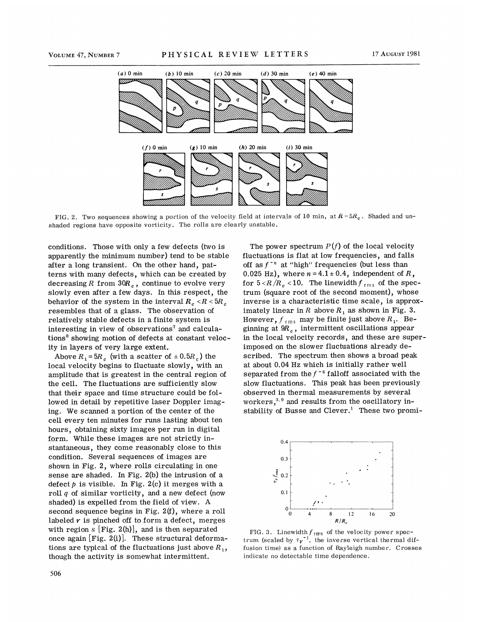

FIG. 2. Two sequences showing a portion of the velocity field at intervals of 10 min, at  $R = 5R<sub>c</sub>$ . Shaded and unshaded regions have opposite vorticity. The rolls are clearly unstable.

conditions. Those with only a few defects (two is apparently the minimum number) tend to be stable after a long transient. On the other hand, patterns with many defects, which can be created by decreasing  $R$  from  $30R_{\it c}^{\vphantom{\dagger}}$  , continue to evolve very slowly even after a few days. In this respect, the behavior of the system in the interval  $R_c < R < 5R_c$ resembles that of a glass. The observation of relatively stable defects in a finite system is interesting in view of observations' and calculations' showing motion of defects at constant velocity in layers of very large extent.

Above  $R_1 = 5R_6$  (with a scatter of  $\pm 0.5R_6$ ) the local velocity begins to fluctuate slowly, with an amplitude that is greatest in the central region of the cell. The fluctuations are sufficiently slow that their space and time structure could be followed in detail by repetitive laser Doppler imaging. We scanned a portion of the center of the cell every ten minutes for runs lasting about ten hours, obtaining sixty images per run in digital form. While these images are not strictly instantaneous, they come reasonably close to this condition. Several sequences of images are shown in Fig. 2, where rolls circulating in one sense are shaded. In Fig. 2(b) the intrusion of a defect  $p$  is visible. In Fig. 2(c) it merges with a roll  $q$  of similar vorticity, and a new defect (now shaded) is expelled from the field of view. A second sequence begins in Fig. 2(f), where a roll labeled  $r$  is pinched off to form a defect, merges with region  $s$  [Fig. 2(h)], and is then separated once again [Fig. 2(i)]. These structural deformations are typical of the fluctuations just above  $R_1$ , though the activity is somewhat intermittent.

fluctuations is fiat at low frequencies, and falls  $\frac{1}{2}$  at "high" frequencies (but less than  $\frac{1}{2}$ " at "high" frequencies (but less than 0.025 Hz), where  $n = 4.1 \pm 0.4$ , independent of R, for  $5 < R/R_c < 10$ . The linewidth  $f_{rms}$  of the spectrum (square root of the second moment), whose inverse is a characteristic time scale, is approximately linear in R above  $R_1$  as shown in Fig. 3. However,  $f_{\text{rms}}$  may be finite just above  $R_1$ . Beginning at  $\mathfrak{R}_c$  , intermittent oscillations appea in the local velocity records, and these are superimposed on the slower fluctuations already described. The spectrum then shows a broad peak at about 0.04 Hz which is initially rather wel  $s$  expanded from the  $f^{-4}$  falloff associated with the slow fluctuations. This peak has been previously observed in thermal measurements by several slow fluctuations. This peak has been previous<br>observed in thermal measurements by several<br>workers,<sup>3,9</sup> and results from the oscillatory instability of Busse and Clever.<sup>1</sup> These two promi-

The power spectrum  $P(f)$  of the local velocity



FIG. 3. Linewidth  $f_{\rm rms}$  of the velocity power spectrum (scaled by  $\tau_{V}^{-1}$ , the inverse vertical thermal diffusion time) as a function of Rayleigh number. Crosses indicate no detectable time dependence.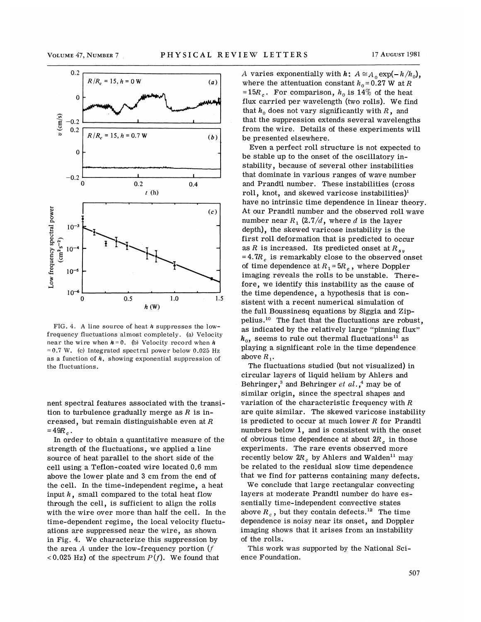

FIG. 4. A line source of heat  $h$  suppresses the lowfrequency fluctuations almost completely. (a) Velocity near the wire when  $h = 0$ . (b) Velocity record when h  $=0.7$  W. (c) Integrated spectral power below 0.025 Hz as a function of  $h$ , showing exponential suppression of the fluctuations.

nent spectral features associated with the transition to turbulence gradually merge as  $R$  is increased, but remain distinguishable even at  $R$  $=49R_c$ .

In order to obtain a quantitative measure of the strength of the fluctuations, we applied a line source of heat parallel to the short side of the cell using a Teflon-coated wire located 0.6 mm above the lower plate and 3 cm from the end of the cell. In the time-independent regime, a heat input  $h$ , small compared to the total heat flow through the cell, is sufficient to align the rolls with the wire over more than half the cell. In the time-dependent regime, the local velocity fluctuations are suppressed near the wire, as shown in Fig. 4. We characterize this suppression by the area  $A$  under the low-frequency portion  $(f)$ <0.025 Hz) of the spectrum  $P(f)$ . We found that

A varies exponentially with  $h: A \cong A_0 \exp(-h/h_0)$ , where the attentuation constant  $h_0 = 0.27$  W at R =15 $R_c$ . For comparison,  $h_0$  is 14\% of the heat flux carried per wavelength (two rolls). We find that  $h_0$  does not vary significantly with R, and that the suppression extends several wavelengths from the wire. Details of these experiments will be presented elsewhere.

Even a perfect roll structure is not expected to be stable up to the onset of the oscillatory instability, because of several other instabilities that dominate in various ranges of wave number and Prandtl number. These instabilities (cross roll, knot, and skewed varicose instabilities)<sup>1</sup> have no intrinsic time dependence in linear theory. At our Prandtl number and the observed roll wave number near  $R_1$  (2.7/d, where d is the layer depth), the skewed varicose instability is the first roll deformation that is predicted to occur as R is increased. Its predicted onset at  $R_{s}$  $= 4.7R_c$  is remarkably close to the observed onset of time dependence at  $R_1 = 5R_c$ , where Doppler imaging reveals the rolls to be unstable. Therefore, we identify this instability as the cause of the time dependence, a hypothesis that is consistent with a recent numerical simulation of the full Boussinesq equations by Siggia and Zipthe full Boussinesq equations by Siggia and Zip-<br>pelius.<sup>10</sup> The fact that the fluctuations are robust as indicated by the relatively large "pinning flux"  $h_0$ , seems to rule out thermal fluctuations<sup>11</sup> as playing a significant role in the time dependence above  $R_{1}$ .

The fluctuations studied (but not visualized) in circular layers of liquid helium by Ahlers and 'Exercise and Behringer et  $al.\,$ <sup>4</sup> may be of similar origin, since the spectral shapes and variation of the characteristic frequency with  $R$ are quite similar. The skewed varicose instability is predicted to occur at much lower  $R$  for Prandtl numbers below 1, and is consistent with the onset of obvious time dependence at about  $2R_{\gamma}$  in those experiments. The rare events observed more recently below  $2R_c$  by Ahlers and Walden<sup>11</sup> may be related to the residual slow time dependence that we find for patterns containing many defects.

We conclude that large rectangular convecting layers at moderate Prandtl number do have essentially time-independent convective states sentially time-independent convective states<br>above  $R_c$ , but they contain defects.<sup>12</sup> The time dependence is noisy near its onset, and Doppler imaging shows that it arises from an instability of the rolls.

This work was supported by the National Science Foundation.